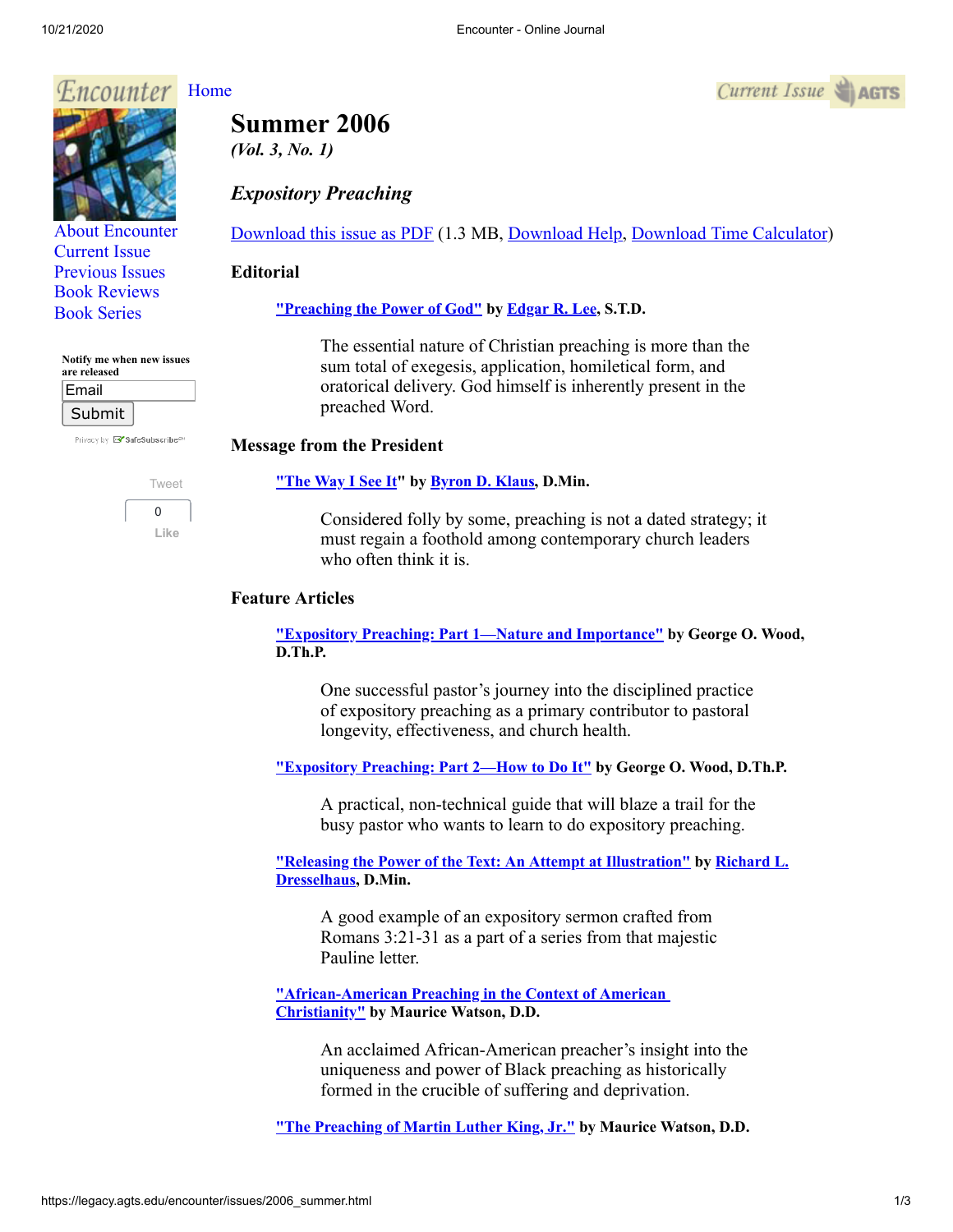## *Encounter*



# **Summer 2006**

*(Vol. 3, No. 1)*

## *Expository Preaching*

[Download this issue as PDF](https://legacy.agts.edu/encounter/issues/2006summer.pdf) (1.3 MB, [Download Help](javascript:;), [Download Time Calculator\)](http://www.onlineconversion.com/downloadspeed.htm)

#### **Editorial**

## **["Preaching the Power of God"](https://legacy.agts.edu/encounter/articles/2006_summer/editorial.htm) by Edgar [R. Lee,](http://legacy.agts.edu/faculty/lee.html) S.T.D.**

The essential nature of Christian preaching is more than the sum total of exegesis, application, homiletical form, and oratorical delivery. God himself is inherently present in the preached Word.

## **Message from the President**

#### **["The Way I See It](https://legacy.agts.edu/encounter/articles/2006_summer/klaus.htm)" by [Byron D. Klaus](http://legacy.agts.edu/faculty/klaus.html), D.Min.**

Considered folly by some, preaching is not a dated strategy; it must regain a foothold among contemporary church leaders who often think it is.

## **Feature Articles**

**["Expository Preaching: Part 1—Nature and Importance"](https://legacy.agts.edu/encounter/articles/2006_summer/wood_part1.htm) by George O. Wood, D.Th.P.**

One successful pastor's journey into the disciplined practice of expository preaching as a primary contributor to pastoral longevity, effectiveness, and church health.

**["Expository Preaching: Part 2—How to Do It"](https://legacy.agts.edu/encounter/articles/2006_summer/wood_part2.htm) by George O. Wood, D.Th.P.**

A practical, non-technical guide that will blaze a trail for the busy pastor who wants to learn to do expository preaching.

**["Releasing the Power of the Text: An Attempt at Illustration" by Richard L.](http://legacy.agts.edu/faculty/visiting.html#dresselhaus) Dresselhaus, D.Min.**

A good example of an expository sermon crafted from Romans 3:21-31 as a part of a series from that majestic Pauline letter.

**["African-American Preaching in the Context of American](https://legacy.agts.edu/encounter/articles/2006_summer/watson_african_american.htm)  Christianity" by Maurice Watson, D.D.**

> An acclaimed African-American preacher's insight into the uniqueness and power of Black preaching as historically formed in the crucible of suffering and deprivation.

**["The Preaching of Martin Luther King, Jr](https://legacy.agts.edu/encounter/articles/2006_summer/watson_preaching.htm)[."](https://legacy.agts.edu/encounter/articles/2006_summer/watson_african_american.pdf) by Maurice Watson, D.D.**





**Notify me when new issues**

[Book Reviews](http://legacy.agts.edu/encounter/book_reviews.html) [Book Series](http://legacy.agts.edu/encounter/resources.html)

| are released |  |
|--------------|--|
| Email        |  |
| Submit       |  |

Privacy by **X SafeSubscribe**<sup>5</sup>

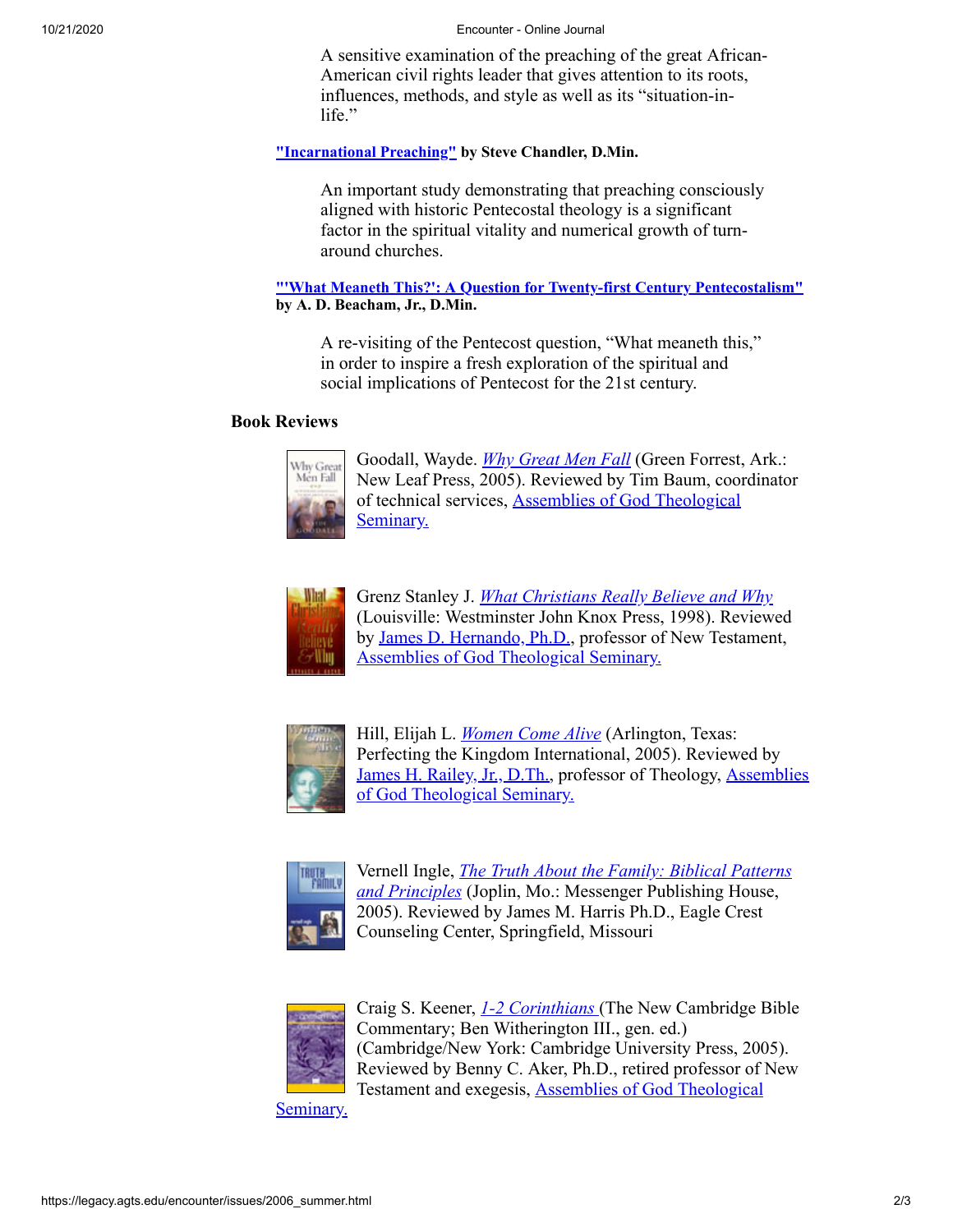#### 10/21/2020 Encounter - Online Journal

A sensitive examination of the preaching of the great African-American civil rights leader that gives attention to its roots, influences, methods, and style as well as its "situation-inlife."

#### **["Incarnational Preaching"](https://legacy.agts.edu/encounter/articles/2006_summer/chandler.htm) by Steve Chandler, D.Min.**

An important study demonstrating that preaching consciously aligned with historic Pentecostal theology is a significant factor in the spiritual vitality and numerical growth of turnaround churches.

#### **["'What Meaneth This?': A Question for Twenty-first Century Pentecostalism"](https://legacy.agts.edu/encounter/articles/2006_summer/beacham.htm) by A. D. Beacham, Jr., D.Min.**

A re-visiting of the Pentecost question, "What meaneth this," in order to inspire a fresh exploration of the spiritual and social implications of Pentecost for the 21st century.

#### **Book Reviews**



Goodall, Wayde. *[Why Great Men Fall](https://legacy.agts.edu/encounter/book_reviews/2006_summer/review_goodall.htm)* (Green Forrest, Ark.: New Leaf Press, 2005). Reviewed by Tim Baum, coordinator [of technical services, Assemblies of God Theological](http://legacy.agts.edu/) Seminary.



Grenz Stanley J. *[What Christians Really Believe and Why](https://legacy.agts.edu/encounter/book_reviews/2006_summer/review_grenz.htm)* (Louisville: Westminster John Knox Press, 1998). Reviewed by [James D. Hernando, Ph.D.](https://legacy.agts.edu/faculty/hernando.html), professor of New Testament, [Assemblies of God Theological Seminary.](http://legacy.agts.edu/)



Hill, Elijah L. *[Women Come Alive](https://legacy.agts.edu/encounter/book_reviews/2006_summer/review_hill.htm)* (Arlington, Texas: Perfecting the Kingdom International, 2005). Reviewed by [James H. Railey, Jr., D.Th](http://legacy.agts.edu/faculty/railey.html)[., professor of Theology, Assemblies](http://legacy.agts.edu/) of God Theological Seminary.



Vernell Ingle, *[The Truth About the Family: Biblical Patterns](https://legacy.agts.edu/encounter/book_reviews/2006_summer/review_ingle.htm) and Principles* (Joplin, Mo.: Messenger Publishing House, 2005). Reviewed by James M. Harris Ph.D., Eagle Crest Counseling Center, Springfield, Missouri



Craig S. Keener, *[1-2 Corinthians](https://legacy.agts.edu/encounter/book_reviews/2006_summer/review_keener.htm)* (The New Cambridge Bible Commentary; Ben Witherington III., gen. ed.) (Cambridge/New York: Cambridge University Press, 2005). Reviewed by Benny C. Aker, Ph.D., retired professor of New [Testament and exegesis, Assemblies of God Theological](http://legacy.agts.edu/)

Seminary.